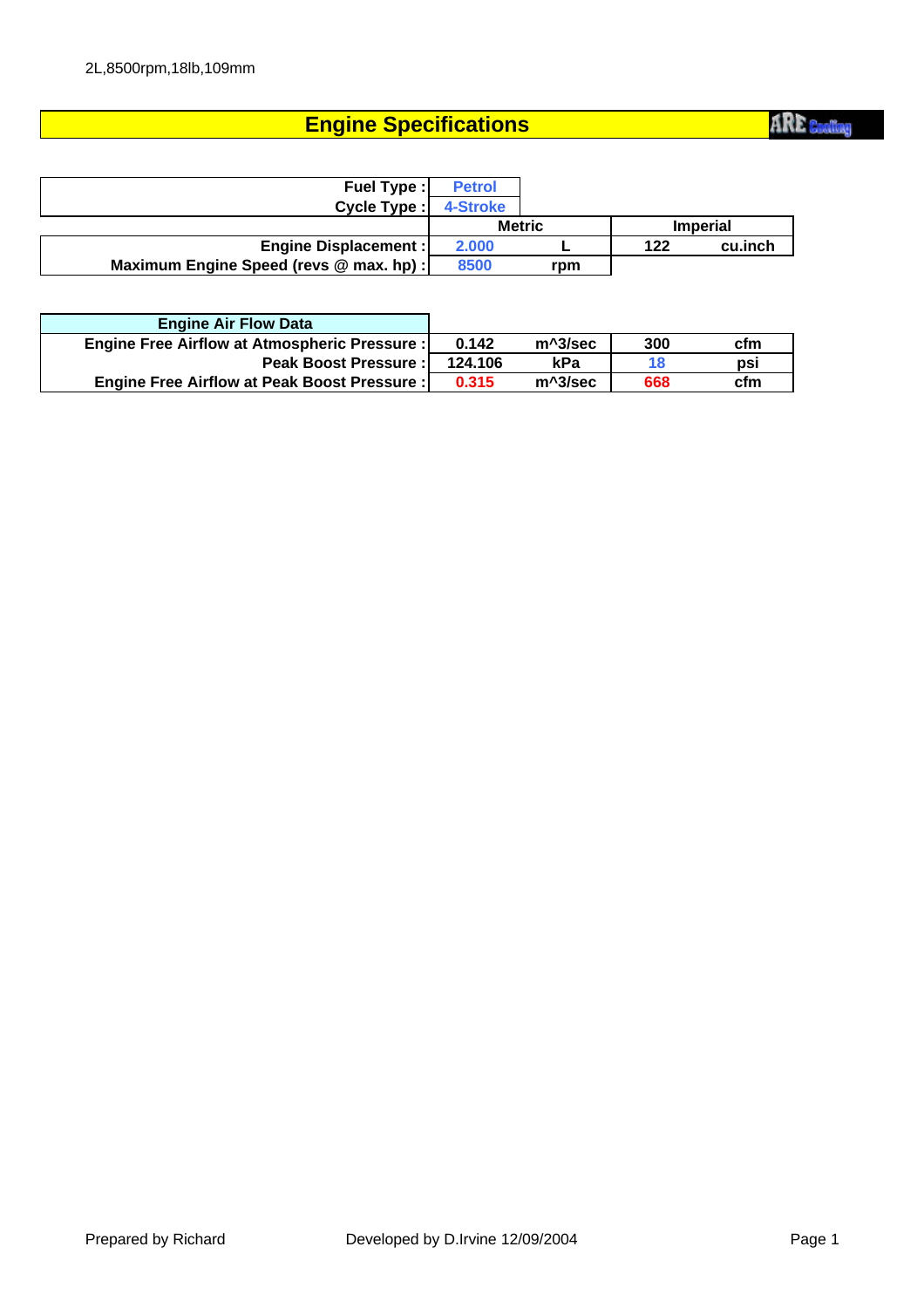## **Engine Specifications**

| <b>Fuel Type:</b>                       | <b>Petrol</b> |     |     |                 |
|-----------------------------------------|---------------|-----|-----|-----------------|
| Cycle Type:                             | 4-Stroke      |     |     |                 |
|                                         | <b>Metric</b> |     |     | <b>Imperial</b> |
| <b>Engine Displacement:</b>             | 2.000         |     | 122 | cu.inch         |
| Maximum Engine Speed (revs @ max. hp) : | 8500          | rpm |     |                 |

| <b>Engine Air Flow Data</b>                        |         |         |     |     |
|----------------------------------------------------|---------|---------|-----|-----|
| Engine Free Airflow at Atmospheric Pressure :      | 0.142   | m^3/sec | 300 | cfm |
| <b>Peak Boost Pressure:</b>                        | 124.106 | kPa     | 18  | psi |
| <b>Engine Free Airflow at Peak Boost Pressure:</b> | 0.315   | m^3/sec | 668 | cfm |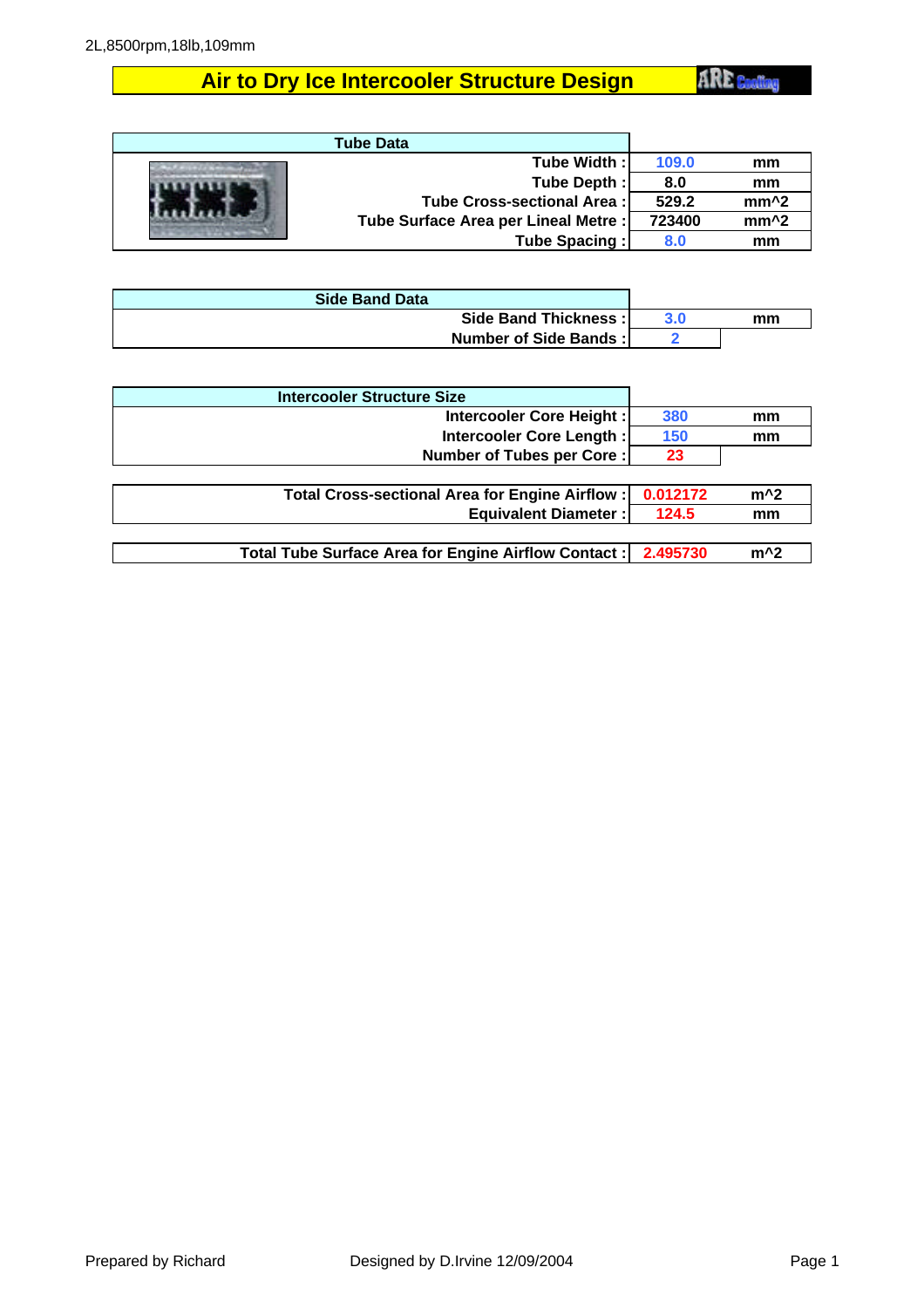## **Air to Dry Ice Intercooler Structure Design**

**ARE** Cooling

| <b>Tube Data</b>                     |        |                  |
|--------------------------------------|--------|------------------|
| Tube Width:                          | 109.0  | mm               |
| Tube Depth:                          | 8.0    | mm               |
| Tube Cross-sectional Area:           | 529.2  | $mm^2$           |
| Tube Surface Area per Lineal Metre : | 723400 | mm <sup>^2</sup> |
| Tube Spacing:                        | 8.0    | mm               |

| <b>Side Band Data</b> |    |
|-----------------------|----|
| Side Band Thickness:  | mm |
| Number of Side Bands: |    |

| <b>Intercooler Structure Size</b>                   |          |       |
|-----------------------------------------------------|----------|-------|
| Intercooler Core Height:                            | 380      | mm    |
| Intercooler Core Length:                            | 150      | mm    |
| Number of Tubes per Core:                           | 23       |       |
|                                                     |          |       |
| Total Cross-sectional Area for Engine Airflow:      | 0.012172 | $m^2$ |
| <b>Equivalent Diameter:</b>                         | 124.5    | mm    |
|                                                     |          |       |
| Total Tube Surface Area for Engine Airflow Contact: | 2.495730 | $m^2$ |